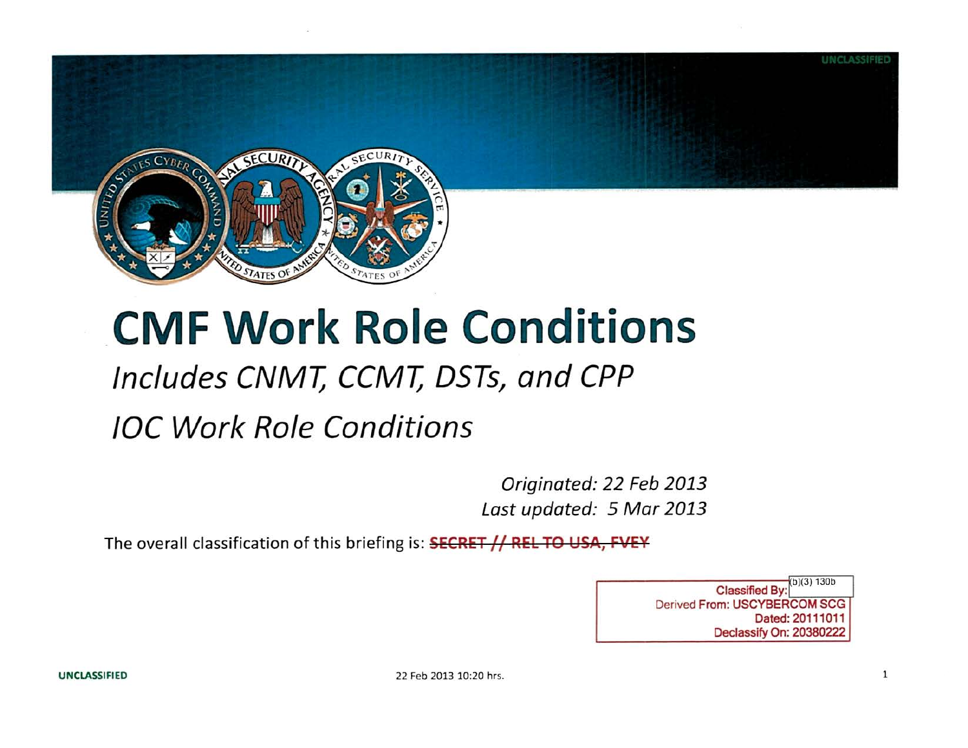

## **CMF Work Role Conditions**

## **Includes CNMT; CCMT; DSTs, and CPP**

## **/OC Work Role Conditions**

Originated: 22 Feb 2013 Last updated: 5 Mar 2013

The overall classification of this briefing is: **SECRET // REL TO USA, FVEY** 

 $\overline{\text{Classified By:}}^{b)(3) 130b}$ Derived From: USCYBERCOM SCG Dated: 20111011 Declassify On: 20380222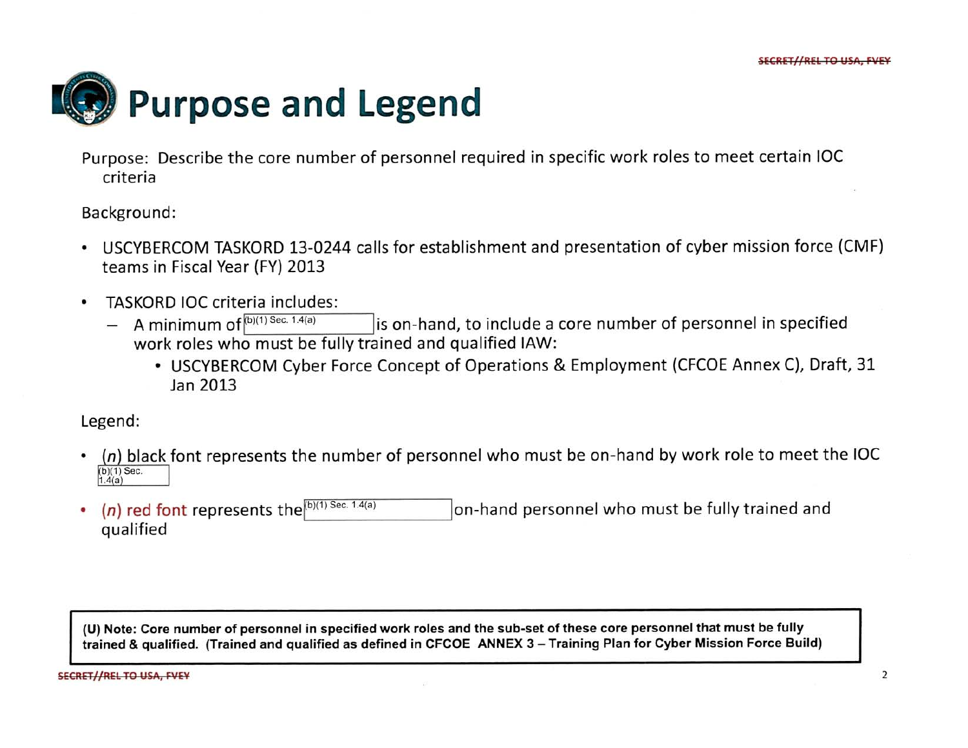

Purpose: Describe the core number of personnel required in specific work roles to meet certain IOC criteria

Background:

- USCYBERCOM TASKORD 13-0244 calls for establishment and presentation of cyber mission force (CMF) teams in Fiscal Year (FY) 2013
- TASKORD IOC criteria includes:
	- A minimum of  $^{\rm{(b)(1)~Sec.~1}}$  $\vert$  is on-hand, to include a core number of personnel in specified work roles who must be fully trained and qualified IAW:
		- USCYBERCOM Cyber Force Concept of Operations & Employment (CFCOE Annex C), Draft, 31 Jan 2013

Legend:

- $(n)$  black font represents the number of personnel who must be on-hand by work role to meet the IOC  $(b)(1)$  Sec.  $1.4(a)$
- (n) red font represents the  $(b)(1)$  Sec. 1 on-hand personnel who must be fully trained and qualified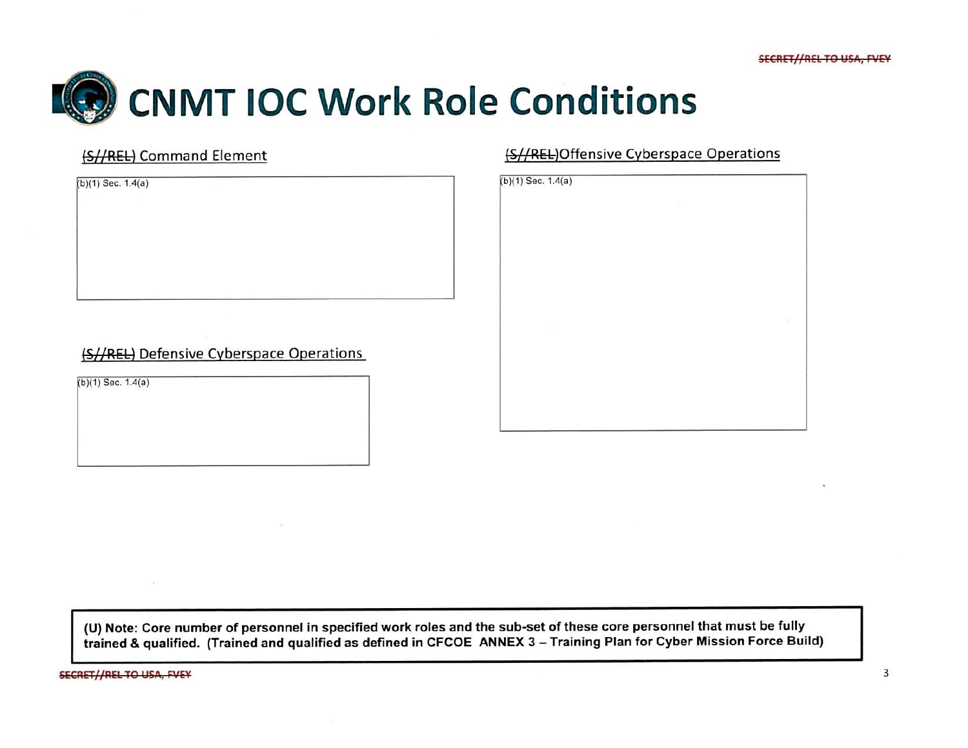

### (SI/REL) Defensive Cyberspace Operations

 $(b)(1)$  Sec. 1.4(a)

### (S//REL) Command Element (S//REL)Offensive Cyberspace Operations

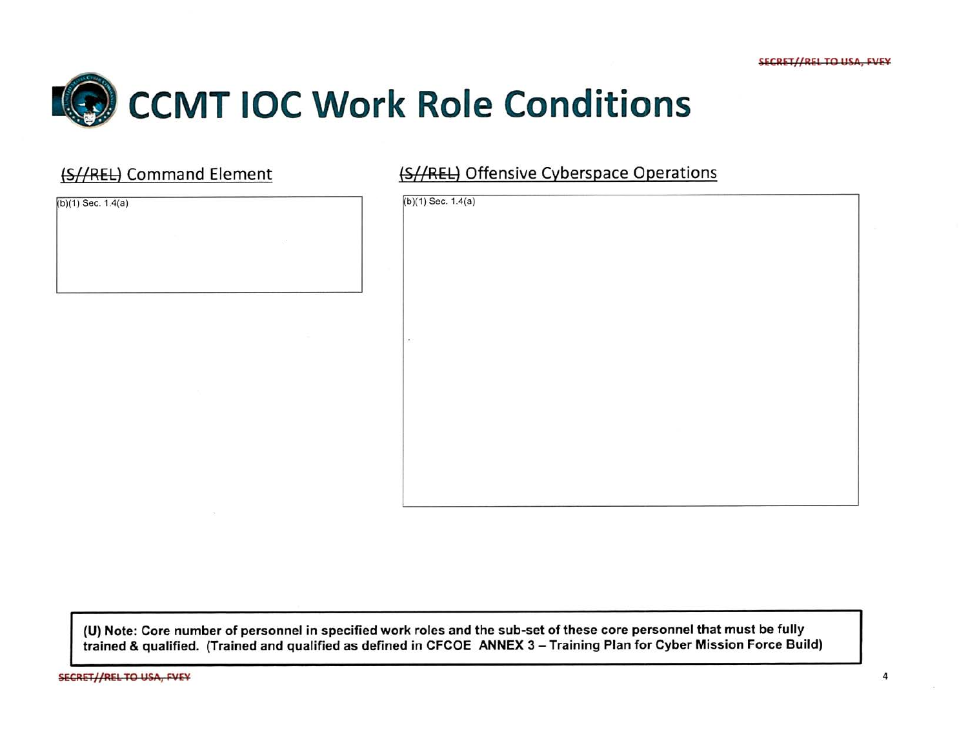

## (S//REL) Command Element

 $(b)(1)$  Sec. 1.4(a)

|  |  | (S//REL) Offensive Cyberspace Operations |  |
|--|--|------------------------------------------|--|
|--|--|------------------------------------------|--|

| $\mathcal{L}^{\mathrm{int}}$<br>A.<br>÷<br><b>Dec</b><br>$\sim 10^{-1}$ | $(b)(1)$ Sec. 1.4(a) |
|-------------------------------------------------------------------------|----------------------|
|                                                                         |                      |
|                                                                         |                      |
|                                                                         |                      |
|                                                                         |                      |
|                                                                         |                      |
|                                                                         |                      |
|                                                                         |                      |
|                                                                         |                      |
|                                                                         |                      |
|                                                                         |                      |
|                                                                         |                      |
|                                                                         |                      |
|                                                                         |                      |
|                                                                         |                      |
|                                                                         |                      |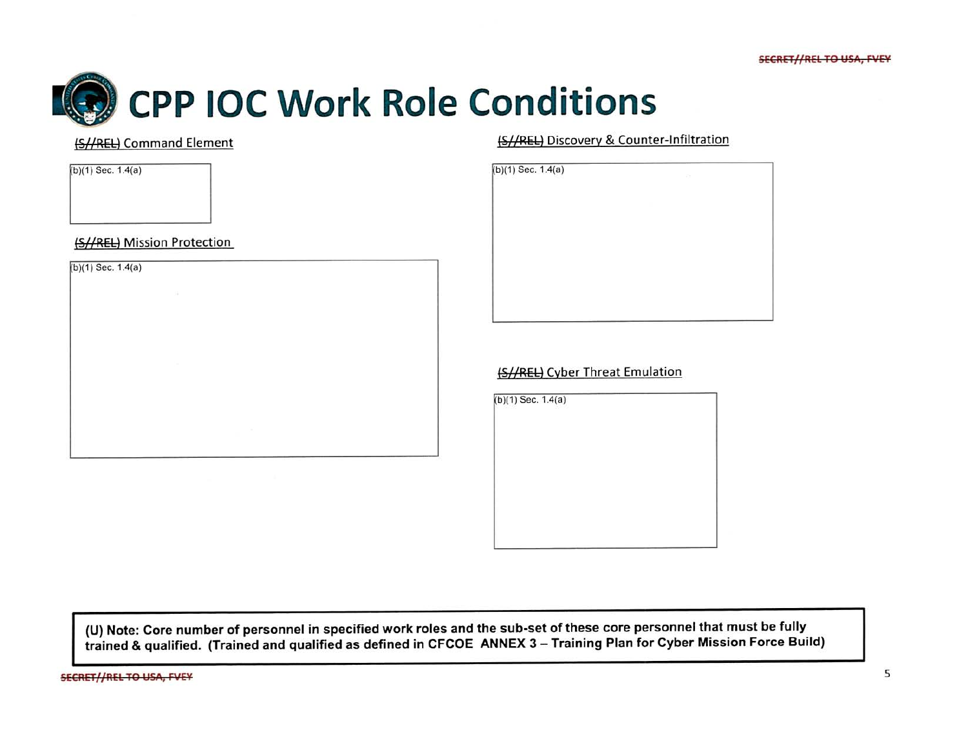

 $(b)(1)$  Sec. 1.4(a)

(S//REL) Mission Protection

 $(b)(1)$  Sec. 1.4(a)

(S//REL) Command Element (S//REL) Discovery & Counter-Infiltration

| $(b)(1)$ Sec. 1.4(a) | $\sim$ |  |
|----------------------|--------|--|
|                      |        |  |
|                      |        |  |
|                      |        |  |
|                      |        |  |
|                      |        |  |
|                      |        |  |
|                      |        |  |
|                      |        |  |
|                      |        |  |
|                      |        |  |

### (S//REL) Cyber Threat Emulation

 $(b)(1)$  Sec. 1.4(a)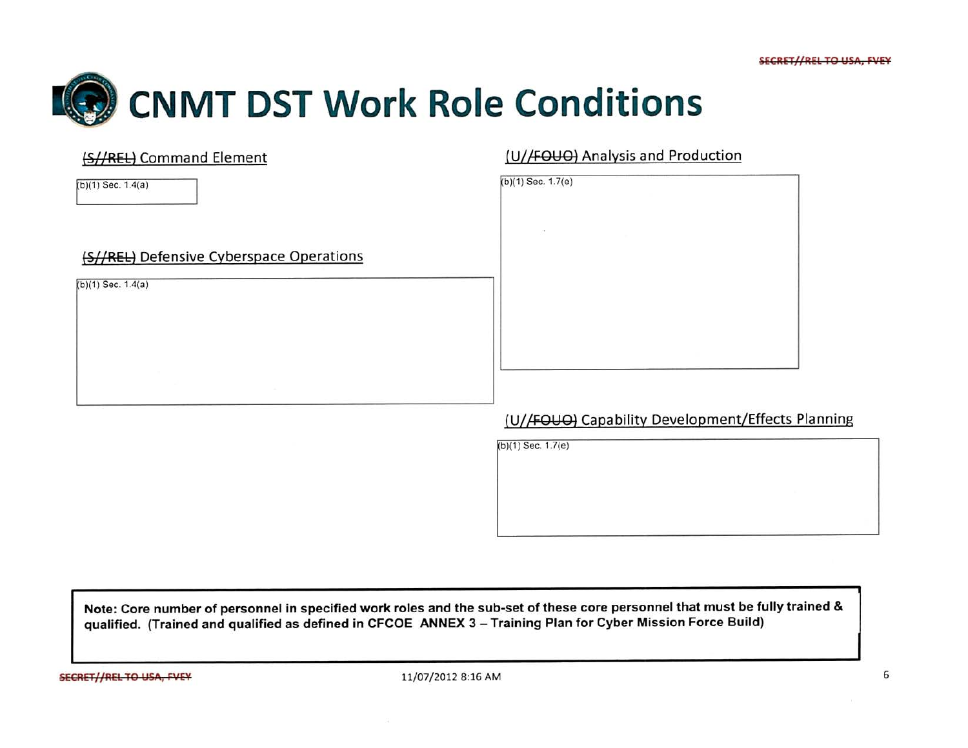

| (S//REL) Command Element                                         | (U//FOUO) Analysis and Production |  |  |
|------------------------------------------------------------------|-----------------------------------|--|--|
| $(b)(1)$ Sec. 1.4(a)                                             | $(b)(1)$ Sec. 1.7(e)              |  |  |
|                                                                  |                                   |  |  |
| (S//REL) Defensive Cyberspace Operations<br>$(b)(1)$ Sec. 1.4(a) |                                   |  |  |
|                                                                  |                                   |  |  |
|                                                                  |                                   |  |  |

## (U//FOUO) Capability Development/Effects Planning

 $(b)(1)$  Sec. 1.7(e)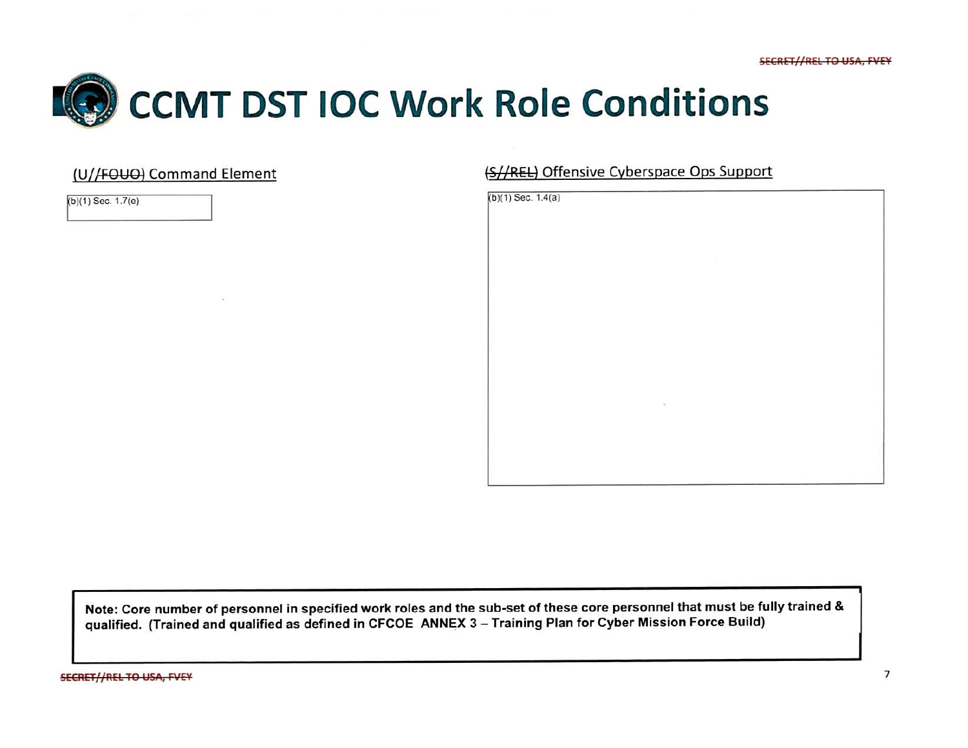

### (U//FOUO) Command Element (S//REL) Offensive Cyberspace Ops Support

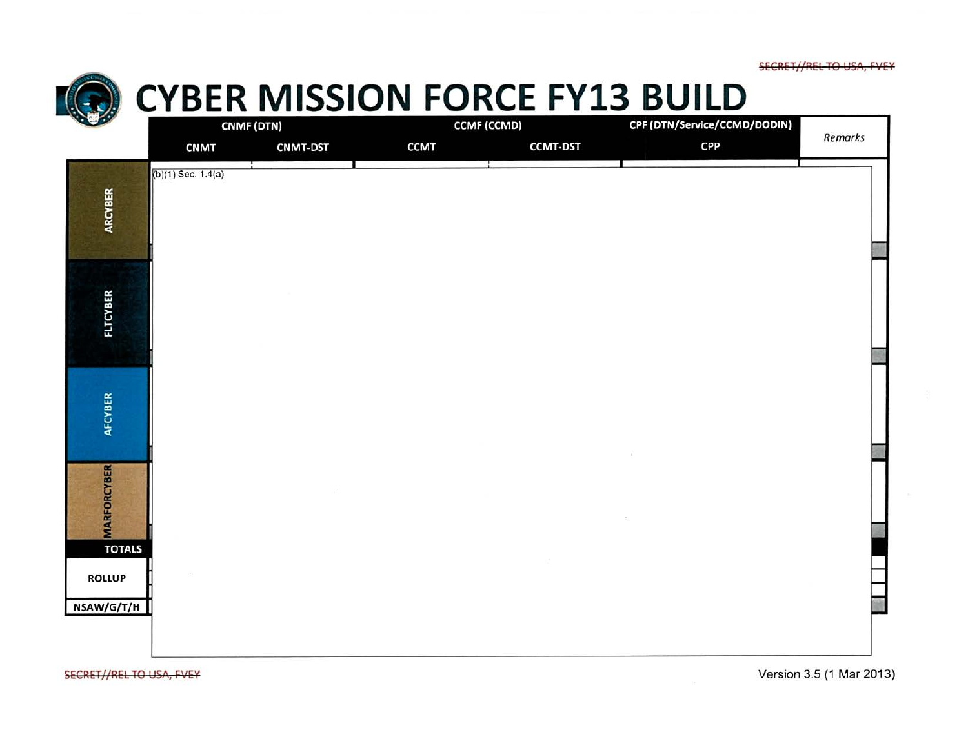SECRET//REL TO USA, FVEY



## **EXAMISSION FORCE FY13 BUILD**<br>CONFIGURER **CONFIGURER CONFIGURER CONFIGURER CONFIGURATION**

| 400                                 |                      | CNMF (DTN)      | <b>CCMF (CCMD)</b> |                 | CPF (DTN/Service/CCMD/DODIN) |         |
|-------------------------------------|----------------------|-----------------|--------------------|-----------------|------------------------------|---------|
|                                     | <b>CNMT</b>          | <b>CNMT-DST</b> | <b>CCMT</b>        | <b>CCMT-DST</b> | <b>CPP</b>                   | Remarks |
| ARCYBER                             | $(b)(1)$ Sec. 1.4(a) |                 |                    |                 |                              |         |
| <b>FLTCYBER</b>                     |                      |                 |                    |                 |                              |         |
| AFCYBER                             |                      |                 |                    |                 |                              |         |
| <b>MARFORCYBER</b><br><b>TOTALS</b> |                      |                 |                    |                 |                              |         |
| <b>ROLLUP</b><br>NSAW/G/T/H         |                      |                 |                    |                 |                              |         |

SECRET//REL TO USA, FVEY **EXECRET/ ASSESSED AS A CONSTRUCTED ASSESSED AS A CONSTRUCTED VERSION** 3.5 (1 Mar 2013)